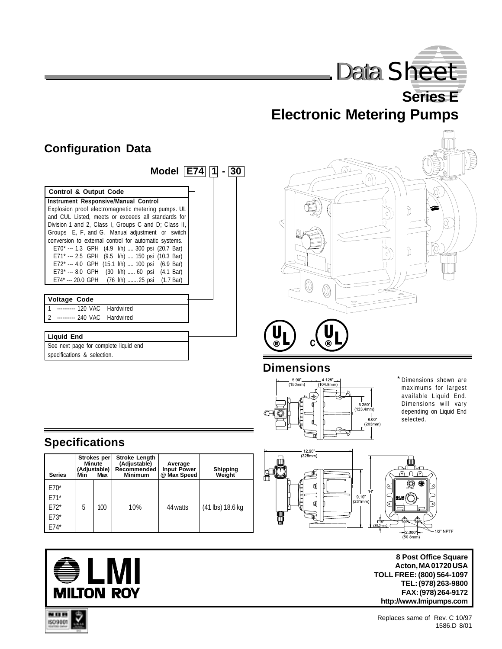

**Series E Electronic Metering Pumps**

## **Configuration Data**

| Model $ E74 $   1                                     |  |  |  |  |  |  |  |  |
|-------------------------------------------------------|--|--|--|--|--|--|--|--|
| <b>Control &amp; Output Code</b>                      |  |  |  |  |  |  |  |  |
| <b>Instrument Responsive/Manual Control</b>           |  |  |  |  |  |  |  |  |
| Explosion proof electromagnetic metering pumps. UL    |  |  |  |  |  |  |  |  |
| and CUL Listed, meets or exceeds all standards for    |  |  |  |  |  |  |  |  |
| Division 1 and 2, Class I, Groups C and D; Class II,  |  |  |  |  |  |  |  |  |
| Groups E, F, and G. Manual adjustment or switch       |  |  |  |  |  |  |  |  |
| conversion to external control for automatic systems. |  |  |  |  |  |  |  |  |
| E70* --- 1.3 GPH (4.9 l/h)  300 psi (20.7 Bar)        |  |  |  |  |  |  |  |  |
| E71* --- 2.5 GPH (9.5 l/h)  150 psi (10.3 Bar)        |  |  |  |  |  |  |  |  |
| E72* --- 4.0 GPH (15.1 l/h)  100 psi (6.9 Bar)        |  |  |  |  |  |  |  |  |
| E73* --- 8.0 GPH (30 l/h)  60 psi (4.1 Bar)           |  |  |  |  |  |  |  |  |
| E74* --- 20.0 GPH (76 l/h)  25 psi (1.7 Bar)          |  |  |  |  |  |  |  |  |
|                                                       |  |  |  |  |  |  |  |  |
| <b>Voltage Code</b>                                   |  |  |  |  |  |  |  |  |
| ---------- 120 VAC Hardwired                          |  |  |  |  |  |  |  |  |
| --------- 240 VAC Hardwired                           |  |  |  |  |  |  |  |  |
|                                                       |  |  |  |  |  |  |  |  |
| <b>Liquid End</b>                                     |  |  |  |  |  |  |  |  |
| See next page for complete liquid end                 |  |  |  |  |  |  |  |  |
| specifications & selection.                           |  |  |  |  |  |  |  |  |



#### **Dimensions**



\* Dimensions shown are maximums for largest available Liquid End. Dimensions will vary depending on Liquid End selected.



**8 Post Office Square Acton, MA 01720 USA TOLL FREE: (800) 564-1097 TEL: (978) 263-9800 FAX: (978) 264-9172 http://www.Imipumps.com**

# **Specifications**

| <b>Series</b>                                  | Strokes per<br><b>Minute</b><br>(Adjustable)<br>Max<br>Min |     | <b>Stroke Length</b><br>(Adjustable)<br>Recommended<br><b>Minimum</b> | Average<br><b>Input Power</b><br>@ Max Speed | <b>Shipping</b><br>Weight |  |
|------------------------------------------------|------------------------------------------------------------|-----|-----------------------------------------------------------------------|----------------------------------------------|---------------------------|--|
| $E70*$<br>$E71*$<br>$F72*$<br>$E73*$<br>$E74*$ | 5                                                          | 100 | 10%                                                                   | 44 watts                                     | (41 lbs) 18.6 kg          |  |



NUM 1509001

Replaces same of Rev. C 10/97 1586.D 8/01